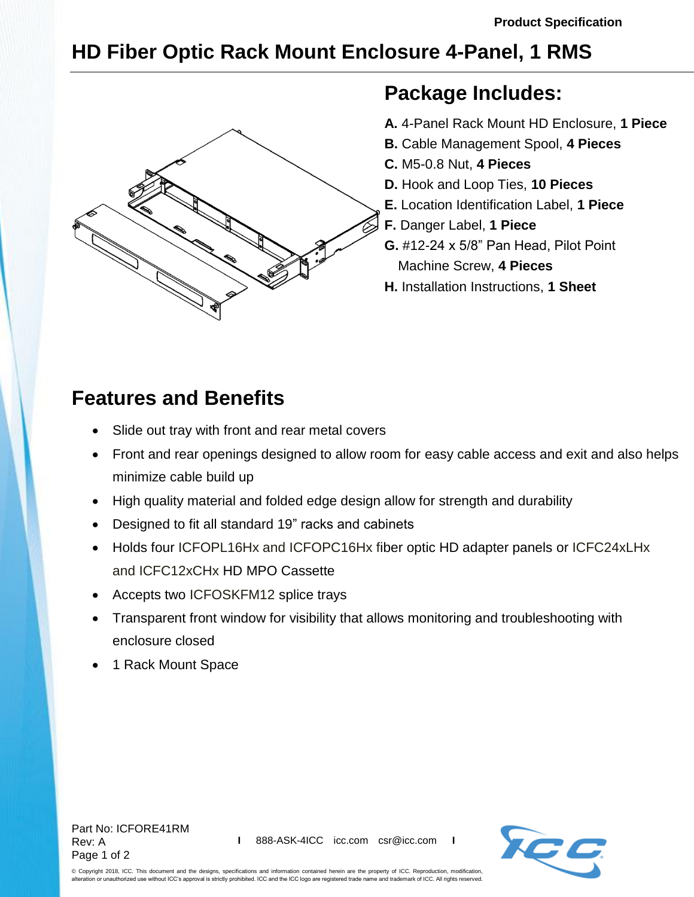## **HD Fiber Optic Rack Mount Enclosure 4-Panel, 1 RMS**



## **Package Includes:**

- **A.** 4-Panel Rack Mount HD Enclosure, **1 Piece**
- **B.** Cable Management Spool, **4 Pieces**
- **C.** M5-0.8 Nut, **4 Pieces**
- **D.** Hook and Loop Ties, **10 Pieces**
- **E.** Location Identification Label, **1 Piece**
- **F.** Danger Label, **1 Piece**
- **G.** #12-24 x 5/8" Pan Head, Pilot Point Machine Screw, **4 Pieces**
- **H.** Installation Instructions, **1 Sheet**

## **Features and Benefits**

- Slide out tray with front and rear metal covers
- Front and rear openings designed to allow room for easy cable access and exit and also helps minimize cable build up
- High quality material and folded edge design allow for strength and durability
- Designed to fit all standard 19" racks and cabinets
- Holds four [ICFOPL](http://www.icc.com/c/142/adapter-panels)16Hx and ICFOPC16Hx fiber optic HD adapter panels or ICFC24xLHx and ICFC12xCHx HD MPO Cassette
- Accepts two [ICFOSKFM12](http://www.icc.com/p/1946/12-splice-small-tray-kit) splice trays
- Transparent front window for visibility that allows monitoring and troubleshooting with enclosure closed
- 1 Rack Mount Space





© Copyright 2018, ICC. This document and the designs, specifications and information contained herein are the property of ICC. Reproduction, modification, alteration or unauthorized use without ICC's approval is strictly prohibited. ICC and the ICC logo are registered trade name and trademark of ICC. All rights reserved.